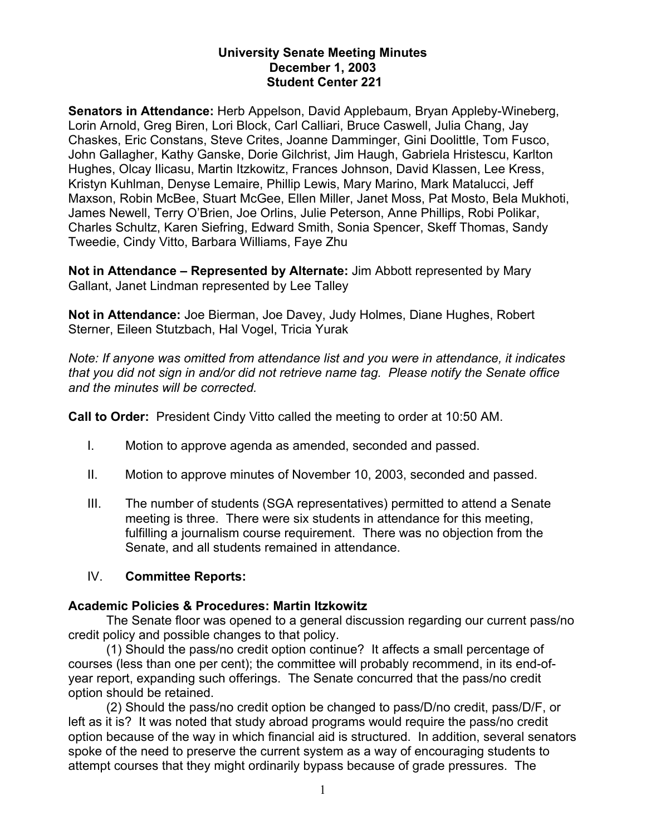# **University Senate Meeting Minutes December 1, 2003 Student Center 221**

**Senators in Attendance:** Herb Appelson, David Applebaum, Bryan Appleby-Wineberg, Lorin Arnold, Greg Biren, Lori Block, Carl Calliari, Bruce Caswell, Julia Chang, Jay Chaskes, Eric Constans, Steve Crites, Joanne Damminger, Gini Doolittle, Tom Fusco, John Gallagher, Kathy Ganske, Dorie Gilchrist, Jim Haugh, Gabriela Hristescu, Karlton Hughes, Olcay Ilicasu, Martin Itzkowitz, Frances Johnson, David Klassen, Lee Kress, Kristyn Kuhlman, Denyse Lemaire, Phillip Lewis, Mary Marino, Mark Matalucci, Jeff Maxson, Robin McBee, Stuart McGee, Ellen Miller, Janet Moss, Pat Mosto, Bela Mukhoti, James Newell, Terry O'Brien, Joe Orlins, Julie Peterson, Anne Phillips, Robi Polikar, Charles Schultz, Karen Siefring, Edward Smith, Sonia Spencer, Skeff Thomas, Sandy Tweedie, Cindy Vitto, Barbara Williams, Faye Zhu

**Not in Attendance – Represented by Alternate:** Jim Abbott represented by Mary Gallant, Janet Lindman represented by Lee Talley

**Not in Attendance:** Joe Bierman, Joe Davey, Judy Holmes, Diane Hughes, Robert Sterner, Eileen Stutzbach, Hal Vogel, Tricia Yurak

*Note: If anyone was omitted from attendance list and you were in attendance, it indicates that you did not sign in and/or did not retrieve name tag. Please notify the Senate office and the minutes will be corrected.* 

**Call to Order:** President Cindy Vitto called the meeting to order at 10:50 AM.

- I. Motion to approve agenda as amended, seconded and passed.
- II. Motion to approve minutes of November 10, 2003, seconded and passed.
- III. The number of students (SGA representatives) permitted to attend a Senate meeting is three. There were six students in attendance for this meeting, fulfilling a journalism course requirement. There was no objection from the Senate, and all students remained in attendance.

# IV. **Committee Reports:**

## **Academic Policies & Procedures: Martin Itzkowitz**

The Senate floor was opened to a general discussion regarding our current pass/no credit policy and possible changes to that policy.

(1) Should the pass/no credit option continue? It affects a small percentage of courses (less than one per cent); the committee will probably recommend, in its end-ofyear report, expanding such offerings. The Senate concurred that the pass/no credit option should be retained.

(2) Should the pass/no credit option be changed to pass/D/no credit, pass/D/F, or left as it is? It was noted that study abroad programs would require the pass/no credit option because of the way in which financial aid is structured. In addition, several senators spoke of the need to preserve the current system as a way of encouraging students to attempt courses that they might ordinarily bypass because of grade pressures. The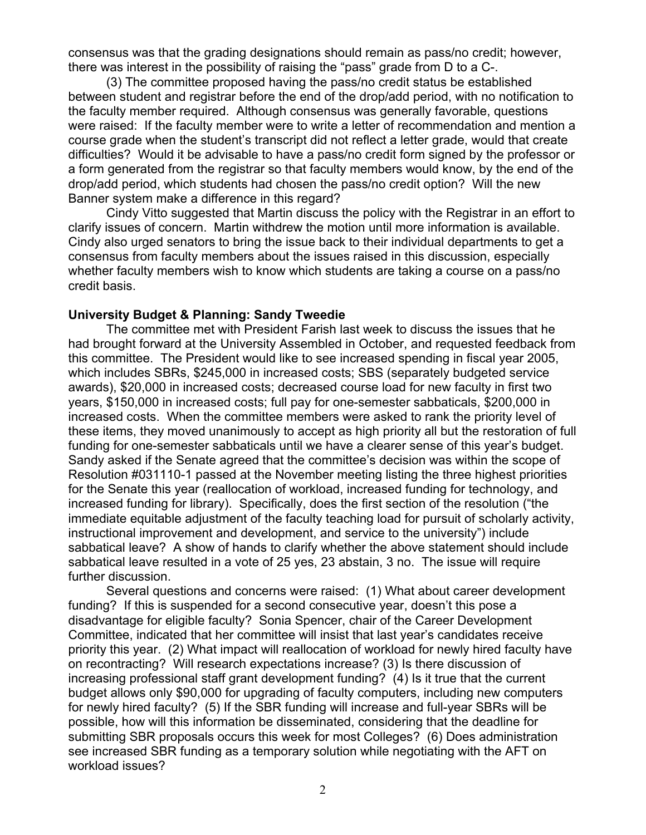consensus was that the grading designations should remain as pass/no credit; however, there was interest in the possibility of raising the "pass" grade from D to a C-.

(3) The committee proposed having the pass/no credit status be established between student and registrar before the end of the drop/add period, with no notification to the faculty member required. Although consensus was generally favorable, questions were raised: If the faculty member were to write a letter of recommendation and mention a course grade when the student's transcript did not reflect a letter grade, would that create difficulties? Would it be advisable to have a pass/no credit form signed by the professor or a form generated from the registrar so that faculty members would know, by the end of the drop/add period, which students had chosen the pass/no credit option? Will the new Banner system make a difference in this regard?

Cindy Vitto suggested that Martin discuss the policy with the Registrar in an effort to clarify issues of concern. Martin withdrew the motion until more information is available. Cindy also urged senators to bring the issue back to their individual departments to get a consensus from faculty members about the issues raised in this discussion, especially whether faculty members wish to know which students are taking a course on a pass/no credit basis.

# **University Budget & Planning: Sandy Tweedie**

The committee met with President Farish last week to discuss the issues that he had brought forward at the University Assembled in October, and requested feedback from this committee. The President would like to see increased spending in fiscal year 2005, which includes SBRs, \$245,000 in increased costs; SBS (separately budgeted service awards), \$20,000 in increased costs; decreased course load for new faculty in first two years, \$150,000 in increased costs; full pay for one-semester sabbaticals, \$200,000 in increased costs. When the committee members were asked to rank the priority level of these items, they moved unanimously to accept as high priority all but the restoration of full funding for one-semester sabbaticals until we have a clearer sense of this year's budget. Sandy asked if the Senate agreed that the committee's decision was within the scope of Resolution #031110-1 passed at the November meeting listing the three highest priorities for the Senate this year (reallocation of workload, increased funding for technology, and increased funding for library). Specifically, does the first section of the resolution ("the immediate equitable adjustment of the faculty teaching load for pursuit of scholarly activity, instructional improvement and development, and service to the university") include sabbatical leave? A show of hands to clarify whether the above statement should include sabbatical leave resulted in a vote of 25 yes, 23 abstain, 3 no. The issue will require further discussion.

Several questions and concerns were raised: (1) What about career development funding? If this is suspended for a second consecutive year, doesn't this pose a disadvantage for eligible faculty? Sonia Spencer, chair of the Career Development Committee, indicated that her committee will insist that last year's candidates receive priority this year. (2) What impact will reallocation of workload for newly hired faculty have on recontracting? Will research expectations increase? (3) Is there discussion of increasing professional staff grant development funding? (4) Is it true that the current budget allows only \$90,000 for upgrading of faculty computers, including new computers for newly hired faculty? (5) If the SBR funding will increase and full-year SBRs will be possible, how will this information be disseminated, considering that the deadline for submitting SBR proposals occurs this week for most Colleges? (6) Does administration see increased SBR funding as a temporary solution while negotiating with the AFT on workload issues?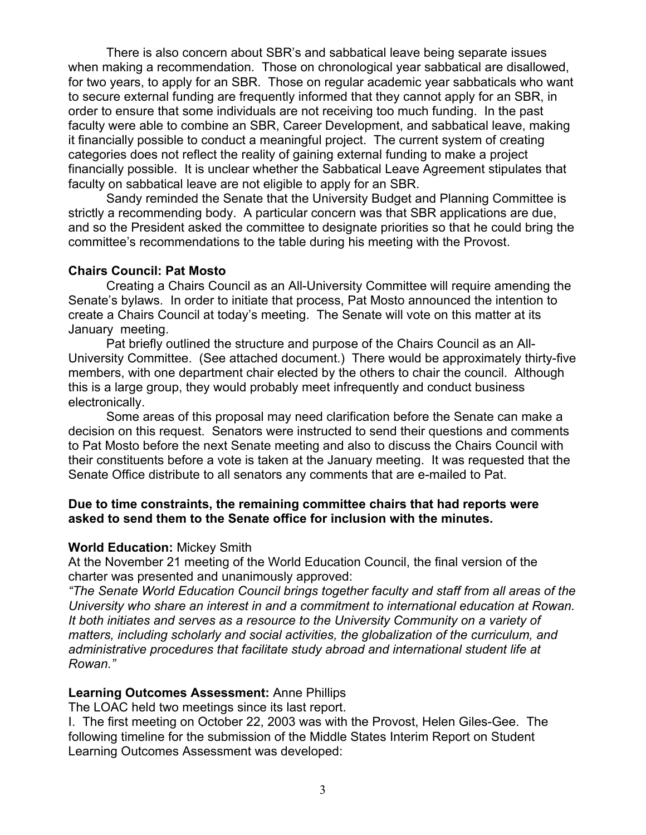There is also concern about SBR's and sabbatical leave being separate issues when making a recommendation. Those on chronological year sabbatical are disallowed, for two years, to apply for an SBR. Those on regular academic year sabbaticals who want to secure external funding are frequently informed that they cannot apply for an SBR, in order to ensure that some individuals are not receiving too much funding. In the past faculty were able to combine an SBR, Career Development, and sabbatical leave, making it financially possible to conduct a meaningful project. The current system of creating categories does not reflect the reality of gaining external funding to make a project financially possible. It is unclear whether the Sabbatical Leave Agreement stipulates that faculty on sabbatical leave are not eligible to apply for an SBR.

Sandy reminded the Senate that the University Budget and Planning Committee is strictly a recommending body. A particular concern was that SBR applications are due, and so the President asked the committee to designate priorities so that he could bring the committee's recommendations to the table during his meeting with the Provost.

## **Chairs Council: Pat Mosto**

Creating a Chairs Council as an All-University Committee will require amending the Senate's bylaws. In order to initiate that process, Pat Mosto announced the intention to create a Chairs Council at today's meeting. The Senate will vote on this matter at its January meeting.

Pat briefly outlined the structure and purpose of the Chairs Council as an All-University Committee. (See attached document.) There would be approximately thirty-five members, with one department chair elected by the others to chair the council. Although this is a large group, they would probably meet infrequently and conduct business electronically.

Some areas of this proposal may need clarification before the Senate can make a decision on this request. Senators were instructed to send their questions and comments to Pat Mosto before the next Senate meeting and also to discuss the Chairs Council with their constituents before a vote is taken at the January meeting. It was requested that the Senate Office distribute to all senators any comments that are e-mailed to Pat.

## **Due to time constraints, the remaining committee chairs that had reports were asked to send them to the Senate office for inclusion with the minutes.**

#### **World Education:** Mickey Smith

At the November 21 meeting of the World Education Council, the final version of the charter was presented and unanimously approved:

*"The Senate World Education Council brings together faculty and staff from all areas of the University who share an interest in and a commitment to international education at Rowan. It both initiates and serves as a resource to the University Community on a variety of matters, including scholarly and social activities, the globalization of the curriculum, and administrative procedures that facilitate study abroad and international student life at Rowan."* 

## **Learning Outcomes Assessment:** Anne Phillips

The LOAC held two meetings since its last report.

I. The first meeting on October 22, 2003 was with the Provost, Helen Giles-Gee. The following timeline for the submission of the Middle States Interim Report on Student Learning Outcomes Assessment was developed: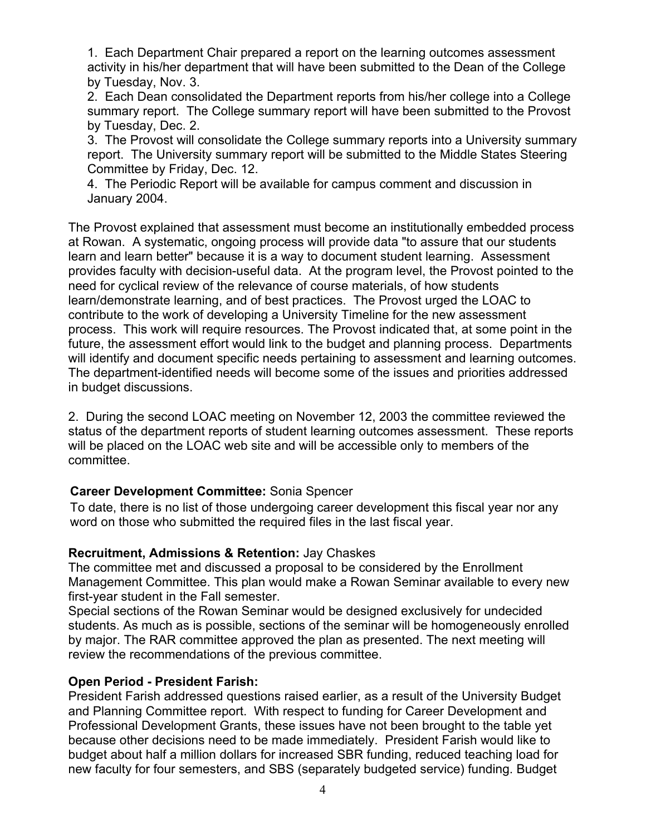1. Each Department Chair prepared a report on the learning outcomes assessment activity in his/her department that will have been submitted to the Dean of the College by Tuesday, Nov. 3.

2. Each Dean consolidated the Department reports from his/her college into a College summary report. The College summary report will have been submitted to the Provost by Tuesday, Dec. 2.

3. The Provost will consolidate the College summary reports into a University summary report. The University summary report will be submitted to the Middle States Steering Committee by Friday, Dec. 12.

4. The Periodic Report will be available for campus comment and discussion in January 2004.

The Provost explained that assessment must become an institutionally embedded process at Rowan. A systematic, ongoing process will provide data "to assure that our students learn and learn better" because it is a way to document student learning. Assessment provides faculty with decision-useful data. At the program level, the Provost pointed to the need for cyclical review of the relevance of course materials, of how students learn/demonstrate learning, and of best practices. The Provost urged the LOAC to contribute to the work of developing a University Timeline for the new assessment process. This work will require resources. The Provost indicated that, at some point in the future, the assessment effort would link to the budget and planning process. Departments will identify and document specific needs pertaining to assessment and learning outcomes. The department-identified needs will become some of the issues and priorities addressed in budget discussions.

2. During the second LOAC meeting on November 12, 2003 the committee reviewed the status of the department reports of student learning outcomes assessment. These reports will be placed on the LOAC web site and will be accessible only to members of the committee.

# **Career Development Committee:** Sonia Spencer

To date, there is no list of those undergoing career development this fiscal year nor any word on those who submitted the required files in the last fiscal year.

# **Recruitment, Admissions & Retention:** Jay Chaskes

The committee met and discussed a proposal to be considered by the Enrollment Management Committee. This plan would make a Rowan Seminar available to every new first-year student in the Fall semester.

Special sections of the Rowan Seminar would be designed exclusively for undecided students. As much as is possible, sections of the seminar will be homogeneously enrolled by major. The RAR committee approved the plan as presented. The next meeting will review the recommendations of the previous committee.

# **Open Period - President Farish:**

President Farish addressed questions raised earlier, as a result of the University Budget and Planning Committee report. With respect to funding for Career Development and Professional Development Grants, these issues have not been brought to the table yet because other decisions need to be made immediately. President Farish would like to budget about half a million dollars for increased SBR funding, reduced teaching load for new faculty for four semesters, and SBS (separately budgeted service) funding. Budget